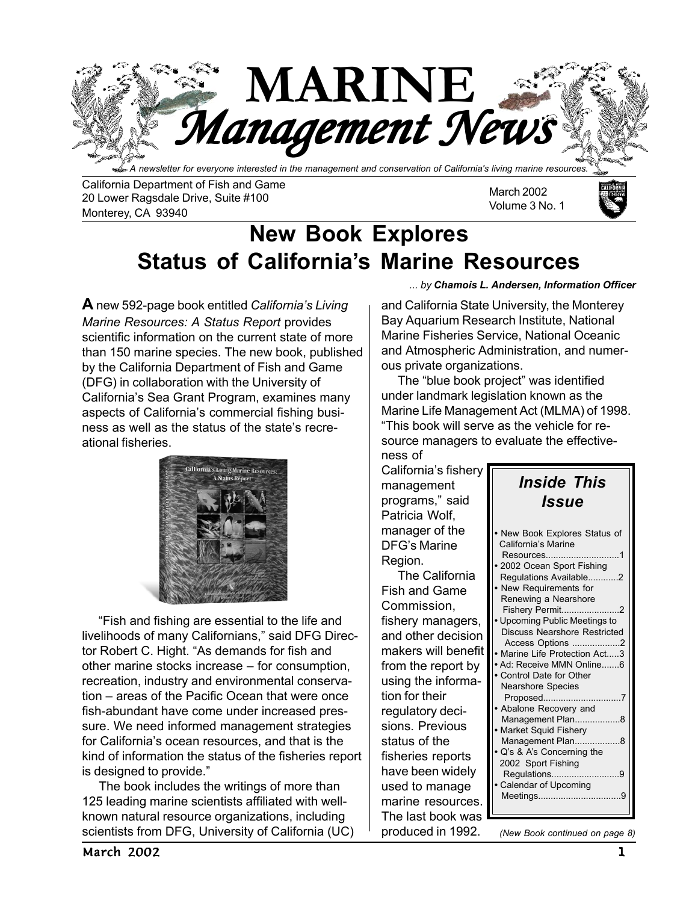

California Department of Fish and Game 20 Lower Ragsdale Drive, Suite #100 Monterey, CA 93940

March 2002 Volume 3 No. 1



# **New Book Explores Status of California's Marine Resources**

**A** new 592-page book entitled *California's Living Marine Resources: A Status Report* provides scientific information on the current state of more than 150 marine species. The new book, published by the California Department of Fish and Game (DFG) in collaboration with the University of California's Sea Grant Program, examines many aspects of California's commercial fishing business as well as the status of the state's recreational fisheries.



"Fish and fishing are essential to the life and livelihoods of many Californians," said DFG Director Robert C. Hight. "As demands for fish and other marine stocks increase – for consumption, recreation, industry and environmental conservation – areas of the Pacific Ocean that were once fish-abundant have come under increased pressure. We need informed management strategies for California's ocean resources, and that is the kind of information the status of the fisheries report is designed to provide."

 The book includes the writings of more than 125 leading marine scientists affiliated with wellknown natural resource organizations, including scientists from DFG, University of California (UC)

#### *... by Chamois L. Andersen, Information Officer*

and California State University, the Monterey Bay Aquarium Research Institute, National Marine Fisheries Service, National Oceanic and Atmospheric Administration, and numerous private organizations.

 The "blue book project" was identified under landmark legislation known as the Marine Life Management Act (MLMA) of 1998. "This book will serve as the vehicle for resource managers to evaluate the effectiveness of

California's fishery management programs," said Patricia Wolf, manager of the DFG's Marine Region.

 The California Fish and Game Commission, fishery managers, and other decision makers will benefit from the report by using the information for their regulatory decisions. Previous status of the fisheries reports have been widely used to manage marine resources. The last book was produced in 1992.

| <b>Inside This</b><br>Issue                                                                                                                                                                                                                                                                                                                                                                                                                                                                                                                                                         |
|-------------------------------------------------------------------------------------------------------------------------------------------------------------------------------------------------------------------------------------------------------------------------------------------------------------------------------------------------------------------------------------------------------------------------------------------------------------------------------------------------------------------------------------------------------------------------------------|
| • New Book Explores Status of<br>California's Marine<br>Resources<br>$\overline{1}$<br>2002 Ocean Sport Fishing<br>Regulations Available2<br>• New Requirements for<br>Renewing a Nearshore<br>Fishery Permit<br>2<br>Upcoming Public Meetings to<br><b>Discuss Nearshore Restricted</b><br>Access Options 2<br>• Marine Life Protection Act3<br>Ad: Receive MMN Online6<br>• Control Date for Other<br>Nearshore Species<br>Proposed<br>• Abalone Recovery and<br>Management Plan8<br>• Market Squid Fishery<br>Management Plan8<br>Q's & A's Concerning the<br>2002 Sport Fishing |
| Regulations9<br>• Calendar of Upcoming<br>Meetings<br>-9                                                                                                                                                                                                                                                                                                                                                                                                                                                                                                                            |

*(New Book continued on page 8)*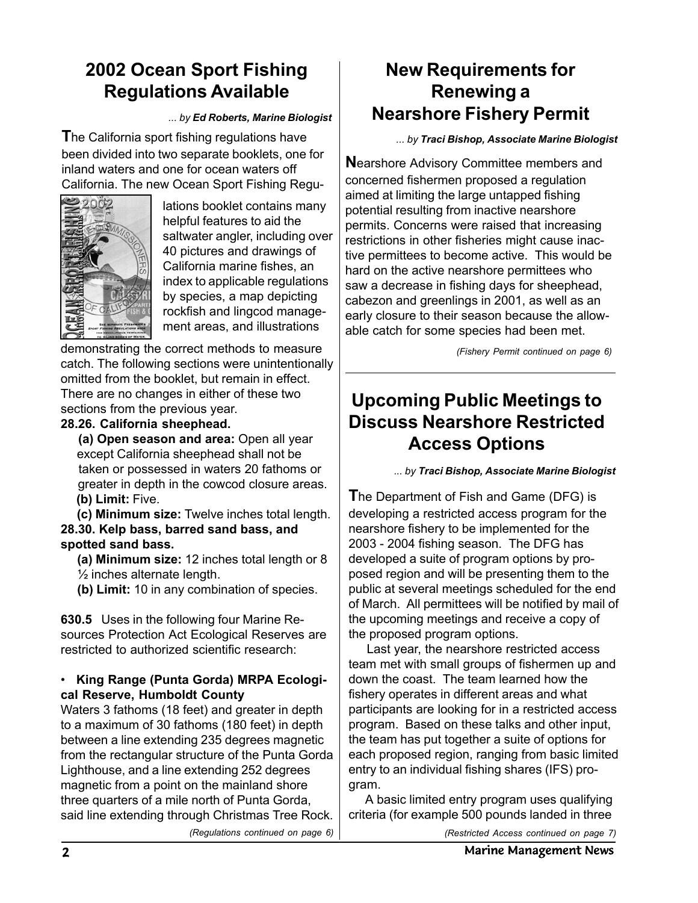## **2002 Ocean Sport Fishing Regulations Available**

*... by Ed Roberts, Marine Biologist*

**T**he California sport fishing regulations have been divided into two separate booklets, one for inland waters and one for ocean waters off California. The new Ocean Sport Fishing Regu-



lations booklet contains many helpful features to aid the saltwater angler, including over 40 pictures and drawings of California marine fishes, an index to applicable regulations by species, a map depicting rockfish and lingcod management areas, and illustrations

demonstrating the correct methods to measure catch. The following sections were unintentionally omitted from the booklet, but remain in effect. There are no changes in either of these two sections from the previous year.

#### **28.26. California sheephead.**

 **(a) Open season and area:** Open all year except California sheephead shall not be taken or possessed in waters 20 fathoms or greater in depth in the cowcod closure areas.  **(b) Limit:** Five.

 **(c) Minimum size:** Twelve inches total length. **28.30. Kelp bass, barred sand bass, and spotted sand bass.**

 **(a) Minimum size:** 12 inches total length or 8 ½ inches alternate length.

 **(b) Limit:** 10 in any combination of species.

**630.5** Uses in the following four Marine Resources Protection Act Ecological Reserves are restricted to authorized scientific research:

#### • **King Range (Punta Gorda) MRPA Ecological Reserve, Humboldt County**

Waters 3 fathoms (18 feet) and greater in depth to a maximum of 30 fathoms (180 feet) in depth between a line extending 235 degrees magnetic from the rectangular structure of the Punta Gorda Lighthouse, and a line extending 252 degrees magnetic from a point on the mainland shore three quarters of a mile north of Punta Gorda, said line extending through Christmas Tree Rock.

### **New Requirements for Renewing a Nearshore Fishery Permit**

*... by Traci Bishop, Associate Marine Biologist*

**N**earshore Advisory Committee members and concerned fishermen proposed a regulation aimed at limiting the large untapped fishing potential resulting from inactive nearshore permits. Concerns were raised that increasing restrictions in other fisheries might cause inactive permittees to become active. This would be hard on the active nearshore permittees who saw a decrease in fishing days for sheephead, cabezon and greenlings in 2001, as well as an early closure to their season because the allowable catch for some species had been met.

*(Fishery Permit continued on page 6)*

### **Upcoming Public Meetings to Discuss Nearshore Restricted Access Options**

*... by Traci Bishop, Associate Marine Biologist*

**T**he Department of Fish and Game (DFG) is developing a restricted access program for the nearshore fishery to be implemented for the 2003 - 2004 fishing season. The DFG has developed a suite of program options by proposed region and will be presenting them to the public at several meetings scheduled for the end of March. All permittees will be notified by mail of the upcoming meetings and receive a copy of the proposed program options.

 Last year, the nearshore restricted access team met with small groups of fishermen up and down the coast. The team learned how the fishery operates in different areas and what participants are looking for in a restricted access program. Based on these talks and other input, the team has put together a suite of options for each proposed region, ranging from basic limited entry to an individual fishing shares (IFS) program.

 A basic limited entry program uses qualifying criteria (for example 500 pounds landed in three

*(Regulations continued on page 6)*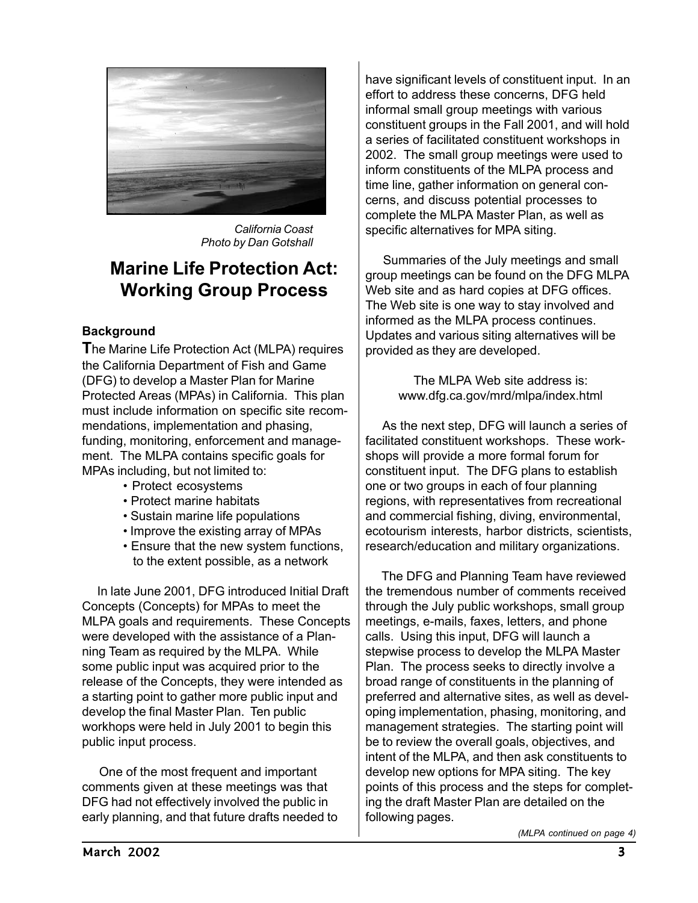

*California Coast Photo by Dan Gotshall*

### **Marine Life Protection Act: Working Group Process**

#### **Background**

**T**he Marine Life Protection Act (MLPA) requires the California Department of Fish and Game (DFG) to develop a Master Plan for Marine Protected Areas (MPAs) in California. This plan must include information on specific site recommendations, implementation and phasing, funding, monitoring, enforcement and management. The MLPA contains specific goals for MPAs including, but not limited to:

- Protect ecosystems
- Protect marine habitats
- Sustain marine life populations
- Improve the existing array of MPAs
- Ensure that the new system functions, to the extent possible, as a network

 In late June 2001, DFG introduced Initial Draft Concepts (Concepts) for MPAs to meet the MLPA goals and requirements. These Concepts were developed with the assistance of a Planning Team as required by the MLPA. While some public input was acquired prior to the release of the Concepts, they were intended as a starting point to gather more public input and develop the final Master Plan. Ten public workhops were held in July 2001 to begin this public input process.

 One of the most frequent and important comments given at these meetings was that DFG had not effectively involved the public in early planning, and that future drafts needed to have significant levels of constituent input. In an effort to address these concerns, DFG held informal small group meetings with various constituent groups in the Fall 2001, and will hold a series of facilitated constituent workshops in 2002. The small group meetings were used to inform constituents of the MLPA process and time line, gather information on general concerns, and discuss potential processes to complete the MLPA Master Plan, as well as specific alternatives for MPA siting.

 Summaries of the July meetings and small group meetings can be found on the DFG MLPA Web site and as hard copies at DFG offices. The Web site is one way to stay involved and informed as the MLPA process continues. Updates and various siting alternatives will be provided as they are developed.

> The MLPA Web site address is: www.dfg.ca.gov/mrd/mlpa/index.html

 As the next step, DFG will launch a series of facilitated constituent workshops. These workshops will provide a more formal forum for constituent input. The DFG plans to establish one or two groups in each of four planning regions, with representatives from recreational and commercial fishing, diving, environmental, ecotourism interests, harbor districts, scientists, research/education and military organizations.

 The DFG and Planning Team have reviewed the tremendous number of comments received through the July public workshops, small group meetings, e-mails, faxes, letters, and phone calls. Using this input, DFG will launch a stepwise process to develop the MLPA Master Plan. The process seeks to directly involve a broad range of constituents in the planning of preferred and alternative sites, as well as developing implementation, phasing, monitoring, and management strategies. The starting point will be to review the overall goals, objectives, and intent of the MLPA, and then ask constituents to develop new options for MPA siting. The key points of this process and the steps for completing the draft Master Plan are detailed on the following pages.

*(MLPA continued on page 4)*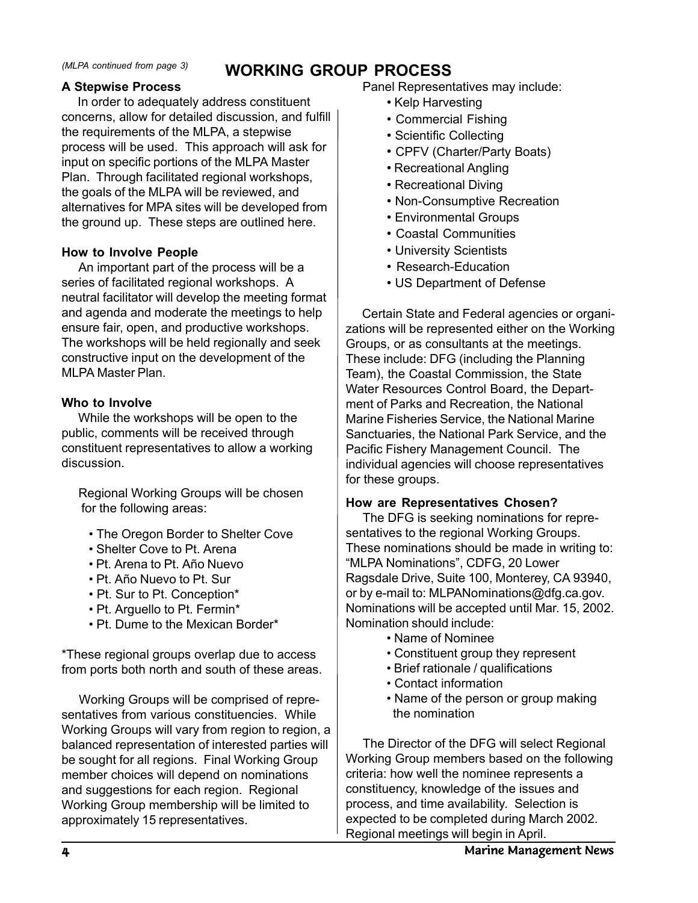### **WORKING GROUP PROCESS** *(MLPA continued from page 3)*

#### **A Stepwise Process**

 In order to adequately address constituent concerns, allow for detailed discussion, and fulfill the requirements of the MLPA, a stepwise process will be used. This approach will ask for input on specific portions of the MLPA Master Plan. Through facilitated regional workshops, the goals of the MLPA will be reviewed, and alternatives for MPA sites will be developed from the ground up. These steps are outlined here.

#### **How to Involve People**

 An important part of the process will be a series of facilitated regional workshops. A neutral facilitator will develop the meeting format and agenda and moderate the meetings to help ensure fair, open, and productive workshops. The workshops will be held regionally and seek constructive input on the development of the MLPA Master Plan.

#### **Who to Involve**

 While the workshops will be open to the public, comments will be received through constituent representatives to allow a working discussion.

 Regional Working Groups will be chosen for the following areas:

- The Oregon Border to Shelter Cove
- Shelter Cove to Pt. Arena
- Pt. Arena to Pt. Año Nuevo
- Pt. Año Nuevo to Pt. Sur
- Pt. Sur to Pt. Conception\*
- Pt. Arguello to Pt. Fermin\*
- Pt. Dume to the Mexican Border\*

\*These regional groups overlap due to access from ports both north and south of these areas.

 Working Groups will be comprised of representatives from various constituencies. While Working Groups will vary from region to region, a balanced representation of interested parties will be sought for all regions. Final Working Group member choices will depend on nominations and suggestions for each region. Regional Working Group membership will be limited to approximately 15 representatives.

- Kelp Harvesting
- Commercial Fishing
- Scientific Collecting
- CPFV (Charter/Party Boats)
- Recreational Angling
- Recreational Diving
- Non-Consumptive Recreation
- Environmental Groups
- Coastal Communities
- University Scientists
- Research-Education
- US Department of Defense

 Certain State and Federal agencies or organizations will be represented either on the Working Groups, or as consultants at the meetings. These include: DFG (including the Planning Team), the Coastal Commission, the State Water Resources Control Board, the Department of Parks and Recreation, the National Marine Fisheries Service, the National Marine Sanctuaries, the National Park Service, and the Pacific Fishery Management Council. The individual agencies will choose representatives for these groups.

#### **How are Representatives Chosen?**

 The DFG is seeking nominations for representatives to the regional Working Groups. These nominations should be made in writing to: "MLPA Nominations", CDFG, 20 Lower Ragsdale Drive, Suite 100, Monterey, CA 93940, or by e-mail to: MLPANominations@dfg.ca.gov. Nominations will be accepted until Mar. 15, 2002. Nomination should include:

- Name of Nominee
- Constituent group they represent
- Brief rationale / qualifications
- Contact information
- Name of the person or group making the nomination

 The Director of the DFG will select Regional Working Group members based on the following criteria: how well the nominee represents a constituency, knowledge of the issues and process, and time availability. Selection is expected to be completed during March 2002. Regional meetings will begin in April.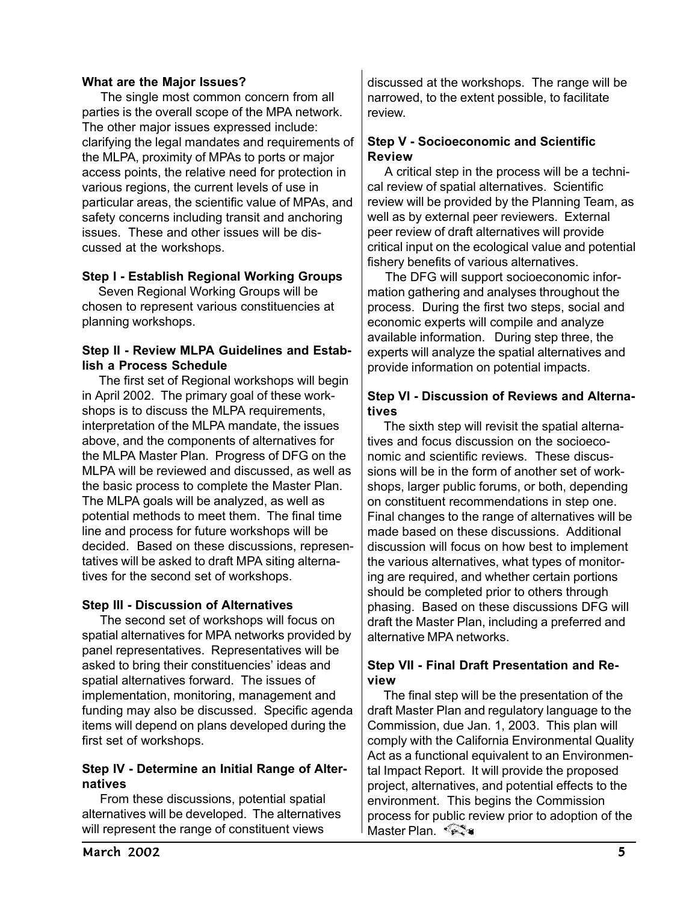#### **What are the Major Issues?**

 The single most common concern from all parties is the overall scope of the MPA network. The other major issues expressed include: clarifying the legal mandates and requirements of the MLPA, proximity of MPAs to ports or major access points, the relative need for protection in various regions, the current levels of use in particular areas, the scientific value of MPAs, and safety concerns including transit and anchoring issues. These and other issues will be discussed at the workshops.

#### **Step I - Establish Regional Working Groups**

 Seven Regional Working Groups will be chosen to represent various constituencies at planning workshops.

#### **Step II - Review MLPA Guidelines and Establish a Process Schedule**

 The first set of Regional workshops will begin in April 2002. The primary goal of these workshops is to discuss the MLPA requirements, interpretation of the MLPA mandate, the issues above, and the components of alternatives for the MLPA Master Plan. Progress of DFG on the MLPA will be reviewed and discussed, as well as the basic process to complete the Master Plan. The MLPA goals will be analyzed, as well as potential methods to meet them. The final time line and process for future workshops will be decided. Based on these discussions, representatives will be asked to draft MPA siting alternatives for the second set of workshops.

#### **Step III - Discussion of Alternatives**

 The second set of workshops will focus on spatial alternatives for MPA networks provided by panel representatives. Representatives will be asked to bring their constituencies' ideas and spatial alternatives forward. The issues of implementation, monitoring, management and funding may also be discussed. Specific agenda items will depend on plans developed during the first set of workshops.

#### **Step IV - Determine an Initial Range of Alternatives**

 From these discussions, potential spatial alternatives will be developed. The alternatives will represent the range of constituent views

discussed at the workshops. The range will be narrowed, to the extent possible, to facilitate review.

#### **Step V - Socioeconomic and Scientific Review**

 A critical step in the process will be a technical review of spatial alternatives. Scientific review will be provided by the Planning Team, as well as by external peer reviewers. External peer review of draft alternatives will provide critical input on the ecological value and potential fishery benefits of various alternatives.

 The DFG will support socioeconomic information gathering and analyses throughout the process. During the first two steps, social and economic experts will compile and analyze available information. During step three, the experts will analyze the spatial alternatives and provide information on potential impacts.

#### **Step VI - Discussion of Reviews and Alternatives**

 The sixth step will revisit the spatial alternatives and focus discussion on the socioeconomic and scientific reviews. These discussions will be in the form of another set of workshops, larger public forums, or both, depending on constituent recommendations in step one. Final changes to the range of alternatives will be made based on these discussions. Additional discussion will focus on how best to implement the various alternatives, what types of monitoring are required, and whether certain portions should be completed prior to others through phasing. Based on these discussions DFG will draft the Master Plan, including a preferred and alternative MPA networks.

#### **Step VII - Final Draft Presentation and Review**

 The final step will be the presentation of the draft Master Plan and regulatory language to the Commission, due Jan. 1, 2003. This plan will comply with the California Environmental Quality Act as a functional equivalent to an Environmental Impact Report. It will provide the proposed project, alternatives, and potential effects to the environment. This begins the Commission process for public review prior to adoption of the Master Plan. <sup>∢</sup> हेई अ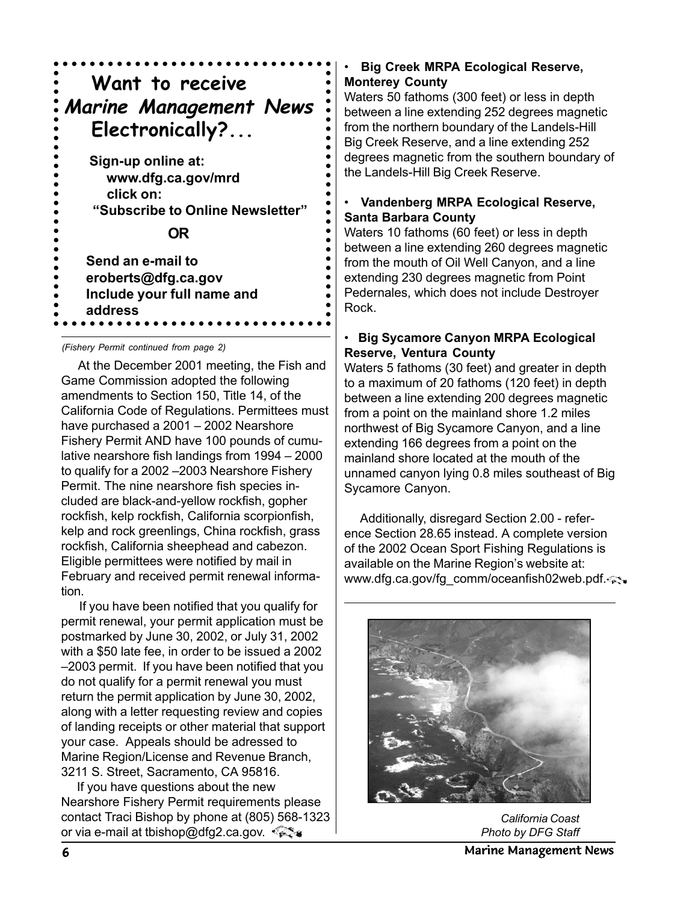

*(Fishery Permit continued from page 2)*

 At the December 2001 meeting, the Fish and Game Commission adopted the following amendments to Section 150, Title 14, of the California Code of Regulations. Permittees must have purchased a 2001 – 2002 Nearshore Fishery Permit AND have 100 pounds of cumulative nearshore fish landings from 1994 – 2000 to qualify for a 2002 –2003 Nearshore Fishery Permit. The nine nearshore fish species included are black-and-yellow rockfish, gopher rockfish, kelp rockfish, California scorpionfish, kelp and rock greenlings, China rockfish, grass rockfish, California sheephead and cabezon. Eligible permittees were notified by mail in February and received permit renewal information.

 If you have been notified that you qualify for permit renewal, your permit application must be postmarked by June 30, 2002, or July 31, 2002 with a \$50 late fee, in order to be issued a 2002 –2003 permit. If you have been notified that you do not qualify for a permit renewal you must return the permit application by June 30, 2002, along with a letter requesting review and copies of landing receipts or other material that support your case. Appeals should be adressed to Marine Region/License and Revenue Branch, 3211 S. Street, Sacramento, CA 95816.

 If you have questions about the new Nearshore Fishery Permit requirements please contact Traci Bishop by phone at (805) 568-1323 or via e-mail at tbishop@dfg2.ca.gov.  $\sqrt[n]{\}$ 

#### • **Big Creek MRPA Ecological Reserve, Monterey County**

Waters 50 fathoms (300 feet) or less in depth between a line extending 252 degrees magnetic from the northern boundary of the Landels-Hill Big Creek Reserve, and a line extending 252 degrees magnetic from the southern boundary of the Landels-Hill Big Creek Reserve.

#### • **Vandenberg MRPA Ecological Reserve, Santa Barbara County**

Waters 10 fathoms (60 feet) or less in depth between a line extending 260 degrees magnetic from the mouth of Oil Well Canyon, and a line extending 230 degrees magnetic from Point Pedernales, which does not include Destroyer Rock.

#### • **Big Sycamore Canyon MRPA Ecological Reserve, Ventura County**

Waters 5 fathoms (30 feet) and greater in depth to a maximum of 20 fathoms (120 feet) in depth between a line extending 200 degrees magnetic from a point on the mainland shore 1.2 miles northwest of Big Sycamore Canyon, and a line extending 166 degrees from a point on the mainland shore located at the mouth of the unnamed canyon lying 0.8 miles southeast of Big Sycamore Canyon.

 Additionally, disregard Section 2.00 - reference Section 28.65 instead. A complete version of the 2002 Ocean Sport Fishing Regulations is available on the Marine Region's website at: www.dfg.ca.gov/fg\_comm/oceanfish02web.pdf.



*California Coast Photo by DFG Staff*

6 Marine Management News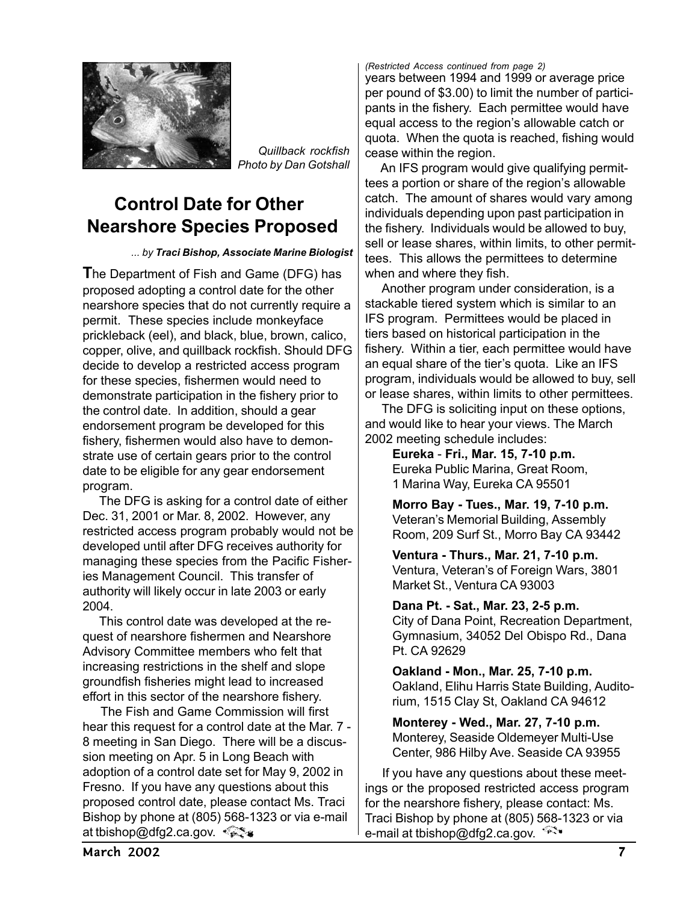

*Quillback rockfish Photo by Dan Gotshall*

### **Control Date for Other Nearshore Species Proposed**

*... by Traci Bishop, Associate Marine Biologist*

**T**he Department of Fish and Game (DFG) has proposed adopting a control date for the other nearshore species that do not currently require a permit. These species include monkeyface prickleback (eel), and black, blue, brown, calico, copper, olive, and quillback rockfish. Should DFG decide to develop a restricted access program for these species, fishermen would need to demonstrate participation in the fishery prior to the control date. In addition, should a gear endorsement program be developed for this fishery, fishermen would also have to demonstrate use of certain gears prior to the control date to be eligible for any gear endorsement program.

 The DFG is asking for a control date of either Dec. 31, 2001 or Mar. 8, 2002. However, any restricted access program probably would not be developed until after DFG receives authority for managing these species from the Pacific Fisheries Management Council. This transfer of authority will likely occur in late 2003 or early 2004.

 This control date was developed at the request of nearshore fishermen and Nearshore Advisory Committee members who felt that increasing restrictions in the shelf and slope groundfish fisheries might lead to increased effort in this sector of the nearshore fishery.

 The Fish and Game Commission will first hear this request for a control date at the Mar. 7 - 8 meeting in San Diego. There will be a discussion meeting on Apr. 5 in Long Beach with adoption of a control date set for May 9, 2002 in Fresno. If you have any questions about this proposed control date, please contact Ms. Traci Bishop by phone at (805) 568-1323 or via e-mail at tbishop@dfg2.ca.gov. < set

years between 1994 and 1999 or average price per pound of \$3.00) to limit the number of participants in the fishery. Each permittee would have equal access to the region's allowable catch or quota. When the quota is reached, fishing would cease within the region. *(Restricted Access continued from page 2)*

 An IFS program would give qualifying permittees a portion or share of the region's allowable catch. The amount of shares would vary among individuals depending upon past participation in the fishery. Individuals would be allowed to buy, sell or lease shares, within limits, to other permittees. This allows the permittees to determine when and where they fish.

 Another program under consideration, is a stackable tiered system which is similar to an IFS program. Permittees would be placed in tiers based on historical participation in the fishery. Within a tier, each permittee would have an equal share of the tier's quota. Like an IFS program, individuals would be allowed to buy, sell or lease shares, within limits to other permittees.

 The DFG is soliciting input on these options, and would like to hear your views. The March 2002 meeting schedule includes:

> **Eureka** - **Fri., Mar. 15, 7-10 p.m.** Eureka Public Marina, Great Room, 1 Marina Way, Eureka CA 95501

**Morro Bay - Tues., Mar. 19, 7-10 p.m.** Veteran's Memorial Building, Assembly Room, 209 Surf St., Morro Bay CA 93442

**Ventura - Thurs., Mar. 21, 7-10 p.m.** Ventura, Veteran's of Foreign Wars, 3801 Market St., Ventura CA 93003

**Dana Pt. - Sat., Mar. 23, 2-5 p.m.** City of Dana Point, Recreation Department, Gymnasium, 34052 Del Obispo Rd., Dana Pt. CA 92629

**Oakland - Mon., Mar. 25, 7-10 p.m.** Oakland, Elihu Harris State Building, Auditorium, 1515 Clay St, Oakland CA 94612

**Monterey - Wed., Mar. 27, 7-10 p.m.** Monterey, Seaside Oldemeyer Multi-Use Center, 986 Hilby Ave. Seaside CA 93955

 If you have any questions about these meetings or the proposed restricted access program for the nearshore fishery, please contact: Ms. Traci Bishop by phone at (805) 568-1323 or via e-mail at tbishop@dfg2.ca.gov.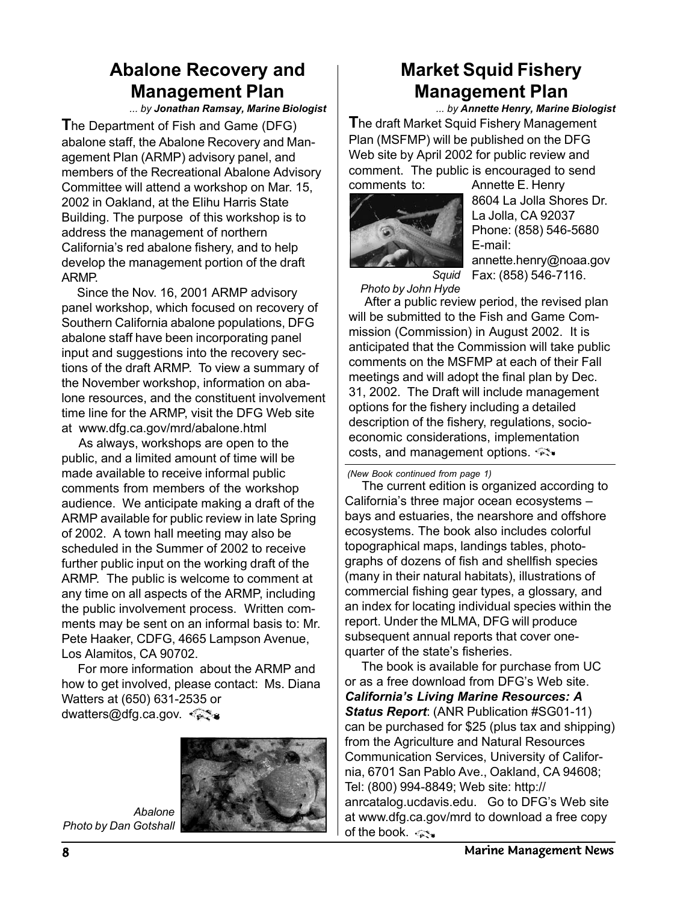### **Abalone Recovery and Management Plan**

*... by Jonathan Ramsay, Marine Biologist*

**T**he Department of Fish and Game (DFG) abalone staff, the Abalone Recovery and Management Plan (ARMP) advisory panel, and members of the Recreational Abalone Advisory Committee will attend a workshop on Mar. 15, 2002 in Oakland, at the Elihu Harris State Building. The purpose of this workshop is to address the management of northern California's red abalone fishery, and to help develop the management portion of the draft ARMP.

 Since the Nov. 16, 2001 ARMP advisory panel workshop, which focused on recovery of Southern California abalone populations, DFG abalone staff have been incorporating panel input and suggestions into the recovery sections of the draft ARMP. To view a summary of the November workshop, information on abalone resources, and the constituent involvement time line for the ARMP, visit the DFG Web site at www.dfg.ca.gov/mrd/abalone.html

 As always, workshops are open to the public, and a limited amount of time will be made available to receive informal public comments from members of the workshop audience. We anticipate making a draft of the ARMP available for public review in late Spring of 2002. A town hall meeting may also be scheduled in the Summer of 2002 to receive further public input on the working draft of the ARMP. The public is welcome to comment at any time on all aspects of the ARMP, including the public involvement process. Written comments may be sent on an informal basis to: Mr. Pete Haaker, CDFG, 4665 Lampson Avenue, Los Alamitos, CA 90702.

 For more information about the ARMP and how to get involved, please contact: Ms. Diana Watters at (650) 631-2535 or dwatters@dfg.ca.gov.



*Abalone Photo by Dan Gotshall*

# **Market Squid Fishery Management Plan**

**T**he draft Market Squid Fishery Management Plan (MSFMP) will be published on the DFG Web site by April 2002 for public review and comment. The public is encouraged to send comments to: Annette E. Henry *... by Annette Henry, Marine Biologist*



8604 La Jolla Shores Dr. La Jolla, CA 92037 Phone: (858) 546-5680 E-mail:

annette.henry@noaa.gov Fax: (858) 546-7116.

*Squid Photo by John Hyde*

 After a public review period, the revised plan will be submitted to the Fish and Game Commission (Commission) in August 2002. It is anticipated that the Commission will take public comments on the MSFMP at each of their Fall meetings and will adopt the final plan by Dec. 31, 2002. The Draft will include management options for the fishery including a detailed description of the fishery, regulations, socioeconomic considerations, implementation costs, and management options.

*(New Book continued from page 1)*

 The current edition is organized according to California's three major ocean ecosystems – bays and estuaries, the nearshore and offshore ecosystems. The book also includes colorful topographical maps, landings tables, photographs of dozens of fish and shellfish species (many in their natural habitats), illustrations of commercial fishing gear types, a glossary, and an index for locating individual species within the report. Under the MLMA, DFG will produce subsequent annual reports that cover onequarter of the state's fisheries.

 The book is available for purchase from UC or as a free download from DFG's Web site. *California's Living Marine Resources: A Status Report*: (ANR Publication #SG01-11) can be purchased for \$25 (plus tax and shipping) from the Agriculture and Natural Resources Communication Services, University of California, 6701 San Pablo Ave., Oakland, CA 94608; Tel: (800) 994-8849; Web site: http:// anrcatalog.ucdavis.edu. Go to DFG's Web site at www.dfg.ca.gov/mrd to download a free copy of the book.  $\lll$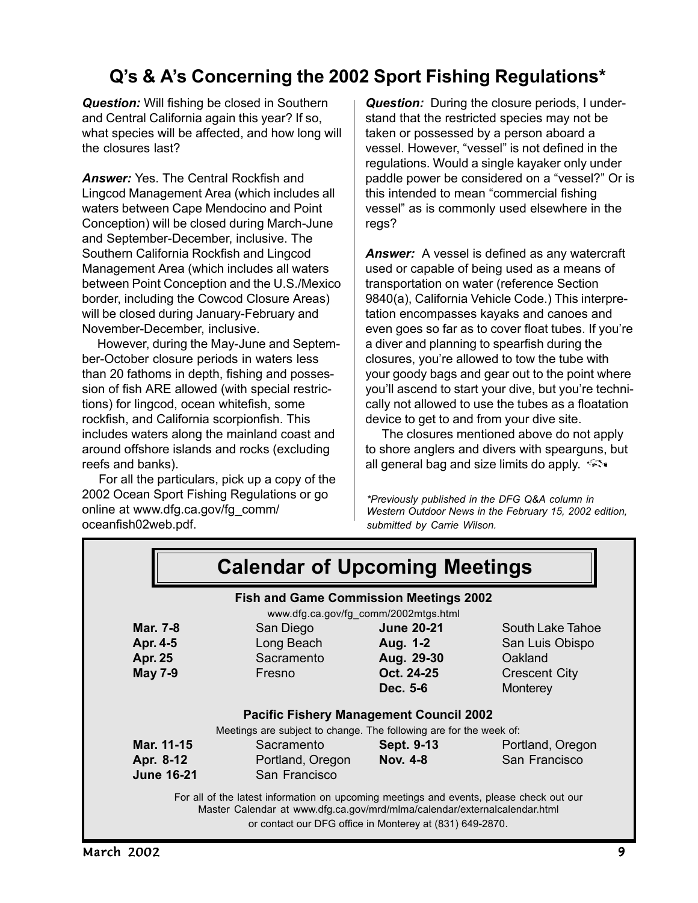## **Q's & A's Concerning the 2002 Sport Fishing Regulations\***

*Question:* Will fishing be closed in Southern and Central California again this year? If so, what species will be affected, and how long will the closures last?

*Answer:* Yes. The Central Rockfish and Lingcod Management Area (which includes all waters between Cape Mendocino and Point Conception) will be closed during March-June and September-December, inclusive. The Southern California Rockfish and Lingcod Management Area (which includes all waters between Point Conception and the U.S./Mexico border, including the Cowcod Closure Areas) will be closed during January-February and November-December, inclusive.

 However, during the May-June and September-October closure periods in waters less than 20 fathoms in depth, fishing and possession of fish ARE allowed (with special restrictions) for lingcod, ocean whitefish, some rockfish, and California scorpionfish. This includes waters along the mainland coast and around offshore islands and rocks (excluding reefs and banks).

 For all the particulars, pick up a copy of the 2002 Ocean Sport Fishing Regulations or go online at www.dfg.ca.gov/fg\_comm/ oceanfish02web.pdf.

*Question:* During the closure periods, I understand that the restricted species may not be taken or possessed by a person aboard a vessel. However, "vessel" is not defined in the regulations. Would a single kayaker only under paddle power be considered on a "vessel?" Or is this intended to mean "commercial fishing vessel" as is commonly used elsewhere in the regs?

*Answer:* A vessel is defined as any watercraft used or capable of being used as a means of transportation on water (reference Section 9840(a), California Vehicle Code.) This interpretation encompasses kayaks and canoes and even goes so far as to cover float tubes. If you're a diver and planning to spearfish during the closures, you're allowed to tow the tube with your goody bags and gear out to the point where you'll ascend to start your dive, but you're technically not allowed to use the tubes as a floatation device to get to and from your dive site.

 The closures mentioned above do not apply to shore anglers and divers with spearguns, but all general bag and size limits do apply.

*\*Previously published in the DFG Q&A column in Western Outdoor News in the February 15, 2002 edition, submitted by Carrie Wilson.*

|                   | <b>Fish and Game Commission Meetings 2002</b>                      | www.dfg.ca.gov/fg_comm/2002mtgs.html |                      |
|-------------------|--------------------------------------------------------------------|--------------------------------------|----------------------|
| Mar. 7-8          | San Diego                                                          | <b>June 20-21</b>                    | South Lake Tahoe     |
| Apr. 4-5          | Long Beach                                                         | Aug. 1-2                             | San Luis Obispo      |
| <b>Apr. 25</b>    | Sacramento                                                         | Aug. 29-30                           | Oakland              |
| <b>May 7-9</b>    | Fresno                                                             | Oct. 24-25                           | <b>Crescent City</b> |
|                   |                                                                    | Dec. 5-6                             | Monterey             |
|                   | <b>Pacific Fishery Management Council 2002</b>                     |                                      |                      |
|                   | Meetings are subject to change. The following are for the week of: |                                      |                      |
| Mar. 11-15        | Sacramento                                                         | Sept. 9-13                           | Portland, Oregon     |
| Apr. 8-12         | Portland, Oregon                                                   | <b>Nov. 4-8</b>                      | San Francisco        |
| <b>June 16-21</b> | San Francisco                                                      |                                      |                      |